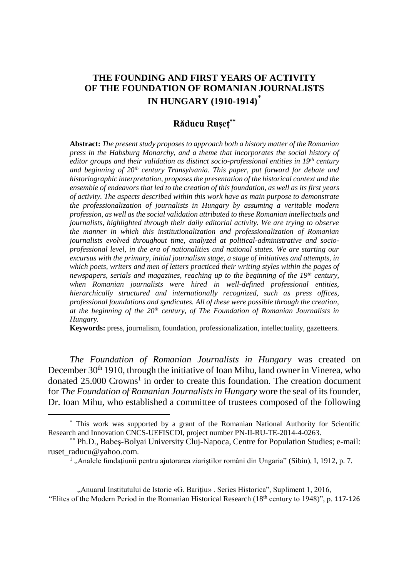## **THE FOUNDING AND FIRST YEARS OF ACTIVITY OF THE FOUNDATION OF ROMANIAN JOURNALISTS IN HUNGARY (1910-1914)**\*

## **Răducu Rușeț\*\***

**Abstract:** *The present study proposes to approach both a history matter of the Romanian press in the Habsburg Monarchy, and a theme that incorporates the social history of editor groups and their validation as distinct socio-professional entities in 19th century and beginning of 20th century Transylvania. This paper, put forward for debate and historiographic interpretation, proposes the presentation of the historical context and the ensemble of endeavors that led to the creation of this foundation, as well as its first years of activity. The aspects described within this work have as main purpose to demonstrate the professionalization of journalists in Hungary by assuming a veritable modern profession, as well as the social validation attributed to these Romanian intellectuals and journalists, highlighted through their daily editorial activity. We are trying to observe the manner in which this institutionalization and professionalization of Romanian journalists evolved throughout time, analyzed at political-administrative and socioprofessional level, in the era of nationalities and national states. We are starting our excursus with the primary, initial journalism stage, a stage of initiatives and attempts, in which poets, writers and men of letters practiced their writing styles within the pages of newspapers, serials and magazines, reaching up to the beginning of the 19th century, when Romanian journalists were hired in well-defined professional entities, hierarchically structured and internationally recognized, such as press offices, professional foundations and syndicates. All of these were possible through the creation, at the beginning of the 20th century, of The Foundation of Romanian Journalists in Hungary.* 

**Keywords:** press, journalism, foundation, professionalization, intellectuality, gazetteers.

*The Foundation of Romanian Journalists in Hungary* was created on December 30<sup>th</sup> 1910, through the initiative of Ioan Mihu, land owner in Vinerea, who donated 25.000 Crowns<sup>1</sup> in order to create this foundation. The creation document for *The Foundation of Romanian Journalists in Hungary* wore the seal of its founder, Dr. Ioan Mihu, who established a committee of trustees composed of the following

 $\overline{\phantom{a}}$ 

"Anuarul Institutului de Istorie «G. Bariţiu» . Series Historica", Supliment 1, 2016, "Elites of the Modern Period in the Romanian Historical Research (18th century to 1948)", p. 117-126

<sup>\*</sup> This work was supported by a grant of the Romanian National Authority for Scientific Research and Innovation CNCS-UEFISCDI, project number PN-II-RU-TE-2014-4-0263.

<sup>\*\*</sup> Ph.D., Babeş-Bolyai University Cluj-Napoca, Centre for Population Studies; e-mail: ruset\_raducu@yahoo.com.

<sup>&</sup>lt;sup>1</sup>, Analele fundațiunii pentru ajutorarea ziariștilor români din Ungaria" (Sibiu), I, 1912, p. 7.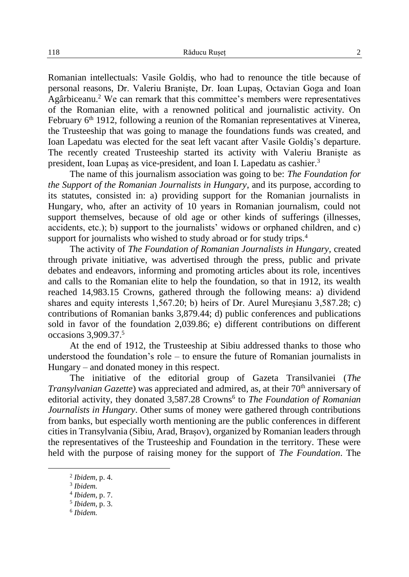Romanian intellectuals: Vasile Goldiș, who had to renounce the title because of personal reasons, Dr. Valeriu Braniște, Dr. Ioan Lupaș, Octavian Goga and Ioan Agârbiceanu. <sup>2</sup> We can remark that this committee's members were representatives of the Romanian elite, with a renowned political and journalistic activity. On February  $6<sup>th</sup>$  1912, following a reunion of the Romanian representatives at Vinerea, the Trusteeship that was going to manage the foundations funds was created, and Ioan Lapedatu was elected for the seat left vacant after Vasile Goldiș's departure. The recently created Trusteeship started its activity with Valeriu Braniște as president, Ioan Lupaș as vice-president, and Ioan I. Lapedatu as cashier.<sup>3</sup>

The name of this journalism association was going to be: *The Foundation for the Support of the Romanian Journalists in Hungary*, and its purpose, according to its statutes, consisted in: a) providing support for the Romanian journalists in Hungary, who, after an activity of 10 years in Romanian journalism, could not support themselves, because of old age or other kinds of sufferings (illnesses, accidents, etc.); b) support to the journalists' widows or orphaned children, and c) support for journalists who wished to study abroad or for study trips.<sup>4</sup>

The activity of *The Foundation of Romanian Journalists in Hungary*, created through private initiative, was advertised through the press, public and private debates and endeavors, informing and promoting articles about its role, incentives and calls to the Romanian elite to help the foundation, so that in 1912, its wealth reached 14,983.15 Crowns, gathered through the following means: a) dividend shares and equity interests 1,567.20; b) heirs of Dr. Aurel Mureșianu 3,587.28; c) contributions of Romanian banks 3,879.44; d) public conferences and publications sold in favor of the foundation 2,039.86; e) different contributions on different occasions 3,909.37.<sup>5</sup>

At the end of 1912, the Trusteeship at Sibiu addressed thanks to those who understood the foundation's role – to ensure the future of Romanian journalists in Hungary – and donated money in this respect.

The initiative of the editorial group of Gazeta Transilvaniei (*The Transylvanian Gazette*) was appreciated and admired, as, at their 70<sup>th</sup> anniversary of editorial activity, they donated 3,587.28 Crowns<sup>6</sup> to *The Foundation of Romanian Journalists in Hungary*. Other sums of money were gathered through contributions from banks, but especially worth mentioning are the public conferences in different cities in Transylvania (Sibiu, Arad, Brașov), organized by Romanian leaders through the representatives of the Trusteeship and Foundation in the territory. These were held with the purpose of raising money for the support of *The Foundation*. The

 $\overline{a}$ 

6 *Ibidem.*

<sup>2</sup> *Ibidem,* p. 4.

<sup>3</sup> *Ibidem.*

<sup>4</sup> *Ibidem,* p. 7.

<sup>5</sup> *Ibidem,* p. 3.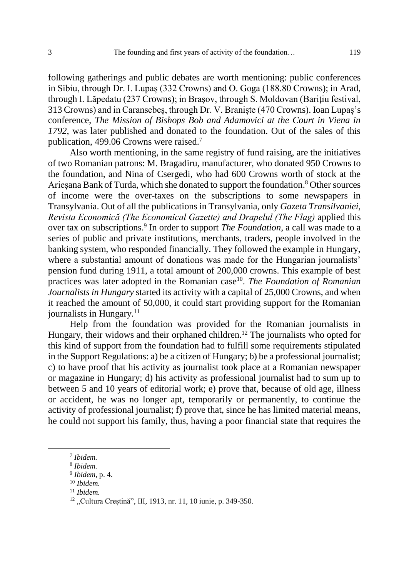following gatherings and public debates are worth mentioning: public conferences in Sibiu, through Dr. I. Lupaș (332 Crowns) and O. Goga (188.80 Crowns); in Arad, through I. Lăpedatu (237 Crowns); in Brașov, through S. Moldovan (Barițiu festival, 313 Crowns) and in Caransebeș, through Dr. V. Braniște (470 Crowns). Ioan Lupaș's conference, *The Mission of Bishops Bob and Adamovici at the Court in Viena in 1792*, was later published and donated to the foundation. Out of the sales of this publication, 499.06 Crowns were raised.<sup>7</sup>

Also worth mentioning, in the same registry of fund raising, are the initiatives of two Romanian patrons: M. Bragadiru, manufacturer, who donated 950 Crowns to the foundation, and Nina of Csergedi, who had 600 Crowns worth of stock at the Arieșana Bank of Turda, which she donated to support the foundation. <sup>8</sup> Other sources of income were the over-taxes on the subscriptions to some newspapers in Transylvania. Out of all the publications in Transylvania, only *Gazeta Transilvaniei, Revista Economică (The Economical Gazette) and Drapelul (The Flag)* applied this over tax on subscriptions. 9 In order to support *The Foundation*, a call was made to a series of public and private institutions, merchants, traders, people involved in the banking system, who responded financially. They followed the example in Hungary, where a substantial amount of donations was made for the Hungarian journalists' pension fund during 1911, a total amount of 200,000 crowns. This example of best practices was later adopted in the Romanian case<sup>10</sup>. *The Foundation of Romanian Journalists in Hungary* started its activity with a capital of 25,000 Crowns, and when it reached the amount of 50,000, it could start providing support for the Romanian journalists in Hungary. $<sup>11</sup>$ </sup>

Help from the foundation was provided for the Romanian journalists in Hungary, their widows and their orphaned children.<sup>12</sup> The journalists who opted for this kind of support from the foundation had to fulfill some requirements stipulated in the Support Regulations: a) be a citizen of Hungary; b) be a professional journalist; c) to have proof that his activity as journalist took place at a Romanian newspaper or magazine in Hungary; d) his activity as professional journalist had to sum up to between 5 and 10 years of editorial work; e) prove that, because of old age, illness or accident, he was no longer apt, temporarily or permanently, to continue the activity of professional journalist; f) prove that, since he has limited material means, he could not support his family, thus, having a poor financial state that requires the

 $\overline{a}$ 

<sup>7</sup> *Ibidem.*

<sup>8</sup> *Ibidem.*

<sup>9</sup> *Ibidem,* p. 4.

<sup>10</sup> *Ibidem.*

<sup>11</sup> *Ibidem.*

<sup>&</sup>lt;sup>12</sup> "Cultura Creștină", III, 1913, nr. 11, 10 iunie, p. 349-350.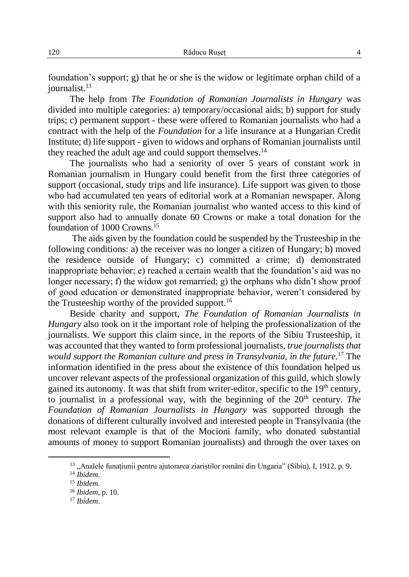foundation's support; g) that he or she is the widow or legitimate orphan child of a journalist. 13

The help from *The Foundation of Romanian Journalists in Hungary* was divided into multiple categories: a) temporary/occasional aids; b) support for study trips; c) permanent support - these were offered to Romanian journalists who had a contract with the help of the *Foundation* for a life insurance at a Hungarian Credit Institute; d) life support - given to widows and orphans of Romanian journalists until they reached the adult age and could support themselves.<sup>14</sup>

The journalists who had a seniority of over 5 years of constant work in Romanian journalism in Hungary could benefit from the first three categories of support (occasional, study trips and life insurance). Life support was given to those who had accumulated ten years of editorial work at a Romanian newspaper. Along with this seniority rule, the Romanian journalist who wanted access to this kind of support also had to annually donate 60 Crowns or make a total donation for the foundation of 1000 Crowns. 15

The aids given by the foundation could be suspended by the Trusteeship in the following conditions: a) the receiver was no longer a citizen of Hungary; b) moved the residence outside of Hungary; c) committed a crime; d) demonstrated inappropriate behavior; e) reached a certain wealth that the foundation's aid was no longer necessary; f) the widow got remarried; g) the orphans who didn't show proof of good education or demonstrated inappropriate behavior, weren't considered by the Trusteeship worthy of the provided support.<sup>16</sup>

Beside charity and support, *The Foundation of Romanian Journalists in Hungary* also took on it the important role of helping the professionalization of the journalists. We support this claim since, in the reports of the Sibiu Trusteeship, it was accounted that they wanted to form professional journalists, *true journalists that would support the Romanian culture and press in Transylvania, in the future.* <sup>17</sup> The information identified in the press about the existence of this foundation helped us uncover relevant aspects of the professional organization of this guild, which slowly gained its autonomy. It was that shift from writer-editor, specific to the 19th century, to journalist in a professional way, with the beginning of the 20<sup>th</sup> century. *The Foundation of Romanian Journalists in Hungary* was supported through the donations of different culturally involved and interested people in Transylvania (the most relevant example is that of the Mocioni family, who donated substantial amounts of money to support Romanian journalists) and through the over taxes on

<sup>&</sup>lt;sup>13</sup> "Analele funațiunii pentru ajutorarea ziariștilor români din Ungaria" (Sibiu), I, 1912, p. 9. <sup>14</sup> *Ibidem*.

<sup>15</sup> *Ibidem.*

<sup>16</sup> *Ibidem,* p. 10.

<sup>17</sup> *Ibidem*.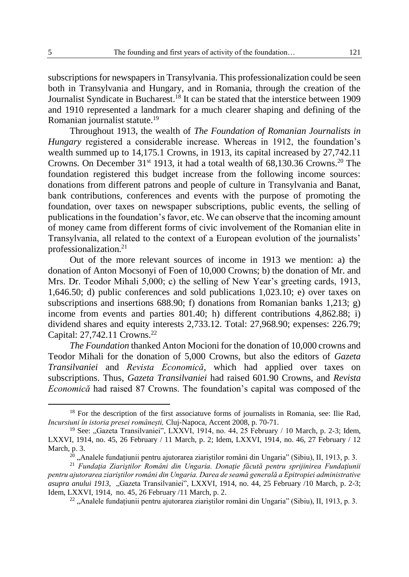subscriptions for newspapers in Transylvania. This professionalization could be seen both in Transylvania and Hungary, and in Romania, through the creation of the Journalist Syndicate in Bucharest. <sup>18</sup> It can be stated that the interstice between 1909 and 1910 represented a landmark for a much clearer shaping and defining of the Romanian journalist statute. 19

Throughout 1913, the wealth of *The Foundation of Romanian Journalists in Hungary* registered a considerable increase. Whereas in 1912, the foundation's wealth summed up to 14,175.1 Crowns, in 1913, its capital increased by 27,742.11 Crowns. On December  $31^{st}$  1913, it had a total wealth of 68,130.36 Crowns.<sup>20</sup> The foundation registered this budget increase from the following income sources: donations from different patrons and people of culture in Transylvania and Banat, bank contributions, conferences and events with the purpose of promoting the foundation, over taxes on newspaper subscriptions, public events, the selling of publications in the foundation's favor, etc. We can observe that the incoming amount of money came from different forms of civic involvement of the Romanian elite in Transylvania, all related to the context of a European evolution of the journalists' professionalization.<sup>21</sup>

Out of the more relevant sources of income in 1913 we mention: a) the donation of Anton Mocsonyi of Foen of 10,000 Crowns; b) the donation of Mr. and Mrs. Dr. Teodor Mihali 5,000; c) the selling of New Year's greeting cards, 1913, 1,646.50; d) public conferences and sold publications 1,023.10; e) over taxes on subscriptions and insertions 688.90; f) donations from Romanian banks 1,213; g) income from events and parties 801.40; h) different contributions 4,862.88; i) dividend shares and equity interests 2,733.12. Total: 27,968.90; expenses: 226.79; Capital: 27,742.11 Crowns.<sup>22</sup>

*The Foundation* thanked Anton Mocioni for the donation of 10,000 crowns and Teodor Mihali for the donation of 5,000 Crowns, but also the editors of *Gazeta Transilvaniei* and *Revista Economică*, which had applied over taxes on subscriptions. Thus, *Gazeta Transilvaniei* had raised 601.90 Crowns, and *Revista Economică* had raised 87 Crowns. The foundation's capital was composed of the

 $\overline{a}$ 

<sup>&</sup>lt;sup>18</sup> For the description of the first associatuve forms of journalists in Romania, see: Ilie Rad, *Incursiuni în istoria presei românești,* Cluj-Napoca, Accent 2008*,* p. 70-71.

<sup>&</sup>lt;sup>19</sup> See: "Gazeta Transilvaniei", LXXVI, 1914, no. 44, 25 February / 10 March, p. 2-3; Idem, LXXVI, 1914, no. 45, 26 February / 11 March, p. 2; Idem, LXXVI, 1914*,* no. 46, 27 February / 12 March, p. 3.

<sup>&</sup>lt;sup>20</sup> ..Analele fundațiunii pentru ajutorarea ziariștilor români din Ungaria" (Sibiu), II, 1913, p. 3.

<sup>21</sup> *Fundaţia Ziariştilor Români din Ungaria. Donaţie făcută pentru sprijinirea Fundaţiunii pentru ajutorarea ziariştilor români din Ungaria. Darea de seamă generală a Epitropiei administrative asupra anului 1913,* "Gazeta Transilvaniei"*,* LXXVI, 1914, no. 44, 25 February /10 March, p. 2-3; Idem, LXXVI, 1914, no. 45, 26 February /11 March, p. 2.

 $22$ , Analele fundațiunii pentru ajutorarea ziariștilor români din Ungaria" (Sibiu), II, 1913, p. 3.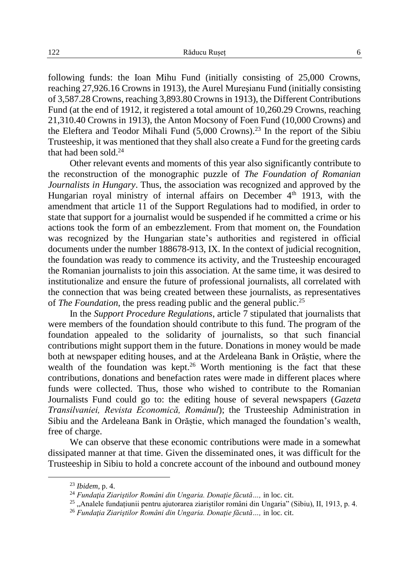following funds: the Ioan Mihu Fund (initially consisting of 25,000 Crowns, reaching 27,926.16 Crowns in 1913), the Aurel Mureşianu Fund (initially consisting of 3,587.28 Crowns, reaching 3,893.80 Crowns in 1913), the Different Contributions Fund (at the end of 1912, it registered a total amount of 10,260.29 Crowns, reaching 21,310.40 Crowns in 1913), the Anton Mocsony of Foen Fund (10,000 Crowns) and the Eleftera and Teodor Mihali Fund  $(5,000 \text{ Crows})$ .<sup>23</sup> In the report of the Sibiu Trusteeship, it was mentioned that they shall also create a Fund for the greeting cards that had been sold. $24$ 

Other relevant events and moments of this year also significantly contribute to the reconstruction of the monographic puzzle of *The Foundation of Romanian Journalists in Hungary*. Thus, the association was recognized and approved by the Hungarian royal ministry of internal affairs on December  $4<sup>th</sup>$  1913, with the amendment that article 11 of the Support Regulations had to modified, in order to state that support for a journalist would be suspended if he committed a crime or his actions took the form of an embezzlement. From that moment on, the Foundation was recognized by the Hungarian state's authorities and registered in official documents under the number 188678-913, IX. In the context of judicial recognition, the foundation was ready to commence its activity, and the Trusteeship encouraged the Romanian journalists to join this association. At the same time, it was desired to institutionalize and ensure the future of professional journalists, all correlated with the connection that was being created between these journalists, as representatives of *The Foundation*, the press reading public and the general public.<sup>25</sup>

In the *Support Procedure Regulations*, article 7 stipulated that journalists that were members of the foundation should contribute to this fund. The program of the foundation appealed to the solidarity of journalists, so that such financial contributions might support them in the future. Donations in money would be made both at newspaper editing houses, and at the Ardeleana Bank in Orăștie, where the wealth of the foundation was kept.<sup>26</sup> Worth mentioning is the fact that these contributions, donations and benefaction rates were made in different places where funds were collected. Thus, those who wished to contribute to the Romanian Journalists Fund could go to: the editing house of several newspapers (*Gazeta Transilvaniei, Revista Economică, Românul*); the Trusteeship Administration in Sibiu and the Ardeleana Bank in Orăștie, which managed the foundation's wealth, free of charge.

We can observe that these economic contributions were made in a somewhat dissipated manner at that time. Given the disseminated ones, it was difficult for the Trusteeship in Sibiu to hold a concrete account of the inbound and outbound money

<sup>23</sup> *Ibidem,* p. 4.

<sup>24</sup> *Fundaţia Ziariştilor Români din Ungaria. Donaţie făcută…,* in loc. cit.

<sup>&</sup>lt;sup>25</sup> "Analele fundațiunii pentru ajutorarea ziariștilor români din Ungaria" (Sibiu), II, 1913, p. 4.

<sup>26</sup> *Fundaţia Ziariştilor Români din Ungaria. Donaţie făcută…,* in loc. cit.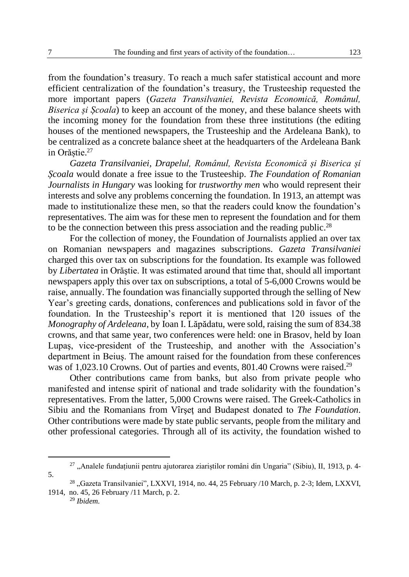from the foundation's treasury. To reach a much safer statistical account and more efficient centralization of the foundation's treasury, the Trusteeship requested the more important papers (*Gazeta Transilvaniei, Revista Economică, Românul, Biserica și Școala*) to keep an account of the money, and these balance sheets with the incoming money for the foundation from these three institutions (the editing houses of the mentioned newspapers, the Trusteeship and the Ardeleana Bank), to be centralized as a concrete balance sheet at the headquarters of the Ardeleana Bank in Orăștie. 27

*Gazeta Transilvaniei, Drapelul, Românul, Revista Economică și Biserica și Școala* would donate a free issue to the Trusteeship. *The Foundation of Romanian Journalists in Hungary* was looking for *trustworthy men* who would represent their interests and solve any problems concerning the foundation. In 1913, an attempt was made to institutionalize these men, so that the readers could know the foundation's representatives. The aim was for these men to represent the foundation and for them to be the connection between this press association and the reading public.<sup>28</sup>

For the collection of money, the Foundation of Journalists applied an over tax on Romanian newspapers and magazines subscriptions. *Gazeta Transilvaniei* charged this over tax on subscriptions for the foundation. Its example was followed by *Libertatea* in Orăştie. It was estimated around that time that, should all important newspapers apply this over tax on subscriptions, a total of 5-6,000 Crowns would be raise, annually. The foundation was financially supported through the selling of New Year's greeting cards, donations, conferences and publications sold in favor of the foundation. In the Trusteeship's report it is mentioned that 120 issues of the *Monography of Ardeleana*, by Ioan I. Lăpădatu, were sold, raising the sum of 834.38 crowns, and that same year, two conferences were held: one in Brasov, held by Ioan Lupaş, vice-president of the Trusteeship, and another with the Association's department in Beiuş. The amount raised for the foundation from these conferences was of 1,023.10 Crowns. Out of parties and events, 801.40 Crowns were raised.<sup>29</sup>

Other contributions came from banks, but also from private people who manifested and intense spirit of national and trade solidarity with the foundation's representatives. From the latter, 5,000 Crowns were raised. The Greek-Catholics in Sibiu and the Romanians from Vîrşeţ and Budapest donated to *The Foundation*. Other contributions were made by state public servants, people from the military and other professional categories. Through all of its activity, the foundation wished to

<sup>29</sup> *Ibidem.*

 $^{27}$  , Analele fundațiunii pentru ajutorarea ziariștilor români din Ungaria" (Sibiu), II, 1913, p. 4-5.

<sup>&</sup>lt;sup>28</sup> "Gazeta Transilvaniei", LXXVI, 1914, no. 44, 25 February /10 March, p. 2-3; Idem, LXXVI, 1914, no. 45, 26 February /11 March, p. 2*.*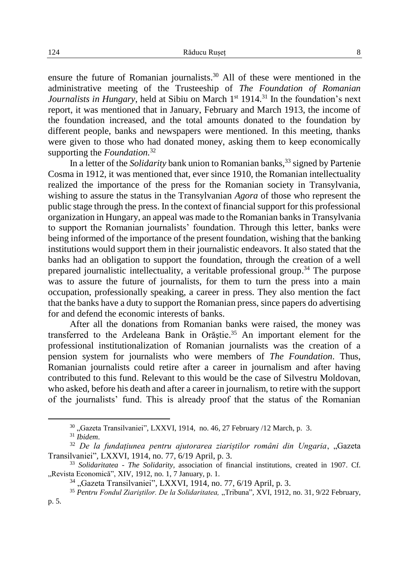ensure the future of Romanian journalists. <sup>30</sup> All of these were mentioned in the administrative meeting of the Trusteeship of *The Foundation of Romanian*  Journalists in Hungary, held at Sibiu on March 1<sup>st</sup> 1914.<sup>31</sup> In the foundation's next report, it was mentioned that in January, February and March 1913, the income of the foundation increased, and the total amounts donated to the foundation by different people, banks and newspapers were mentioned. In this meeting, thanks were given to those who had donated money, asking them to keep economically supporting the *Foundation.* 32

In a letter of the *Solidarity* bank union to Romanian banks,<sup>33</sup> signed by Partenie Cosma in 1912, it was mentioned that, ever since 1910, the Romanian intellectuality realized the importance of the press for the Romanian society in Transylvania, wishing to assure the status in the Transylvanian *Agora* of those who represent the public stage through the press. In the context of financial support for this professional organization in Hungary, an appeal was made to the Romanian banks in Transylvania to support the Romanian journalists' foundation. Through this letter, banks were being informed of the importance of the present foundation, wishing that the banking institutions would support them in their journalistic endeavors. It also stated that the banks had an obligation to support the foundation, through the creation of a well prepared journalistic intellectuality, a veritable professional group.<sup>34</sup> The purpose was to assure the future of journalists, for them to turn the press into a main occupation, professionally speaking, a career in press. They also mention the fact that the banks have a duty to support the Romanian press, since papers do advertising for and defend the economic interests of banks.

After all the donations from Romanian banks were raised, the money was transferred to the Ardeleana Bank in Orăştie. <sup>35</sup> An important element for the professional institutionalization of Romanian journalists was the creation of a pension system for journalists who were members of *The Foundation*. Thus, Romanian journalists could retire after a career in journalism and after having contributed to this fund. Relevant to this would be the case of Silvestru Moldovan, who asked, before his death and after a career in journalism, to retire with the support of the journalists' fund. This is already proof that the status of the Romanian

<sup>30</sup> "Gazeta Transilvaniei"*,* LXXVI, 1914,no. 46, 27 February /12 March, p. 3.

<sup>31</sup> *Ibidem*.

<sup>32</sup> *De la fundațiunea pentru ajutorarea ziariștilor români din Ungaria*, "Gazeta Transilvaniei"*,* LXXVI, 1914, no. 77, 6/19 April, p. 3.

<sup>33</sup> *Solidaritatea - The Solidarity,* association of financial institutions, created in 1907. Cf. "Revista Economică", XIV, 1912, no. 1, 7 January, p. 1.

<sup>34</sup> "Gazeta Transilvaniei"*,* LXXVI, 1914, no. 77, 6/19 April, p. 3.

<sup>&</sup>lt;sup>35</sup> Pentru Fondul Ziariștilor. De la Solidaritatea, "Tribuna", XVI, 1912, no. 31, 9/22 February, p. 5.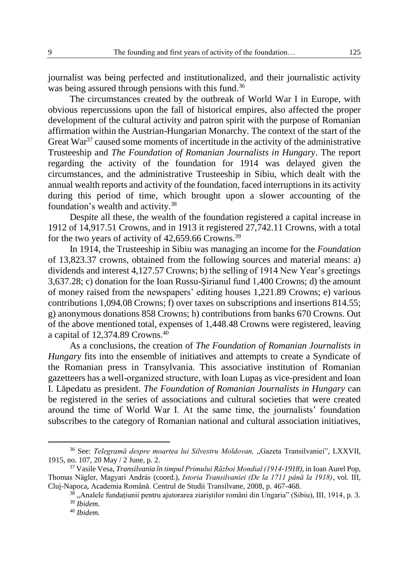journalist was being perfected and institutionalized, and their journalistic activity was being assured through pensions with this fund.<sup>36</sup>

The circumstances created by the outbreak of World War I in Europe, with obvious repercussions upon the fall of historical empires, also affected the proper development of the cultural activity and patron spirit with the purpose of Romanian affirmation within the Austrian-Hungarian Monarchy. The context of the start of the Great  $\text{War}^{37}$  caused some moments of incertitude in the activity of the administrative Trusteeship and *The Foundation of Romanian Journalists in Hungary*. The report regarding the activity of the foundation for 1914 was delayed given the circumstances, and the administrative Trusteeship in Sibiu, which dealt with the annual wealth reports and activity of the foundation, faced interruptions in its activity during this period of time, which brought upon a slower accounting of the foundation's wealth and activity. 38

Despite all these, the wealth of the foundation registered a capital increase in 1912 of 14,917.51 Crowns, and in 1913 it registered 27,742.11 Crowns, with a total for the two years of activity of 42,659.66 Crowns.<sup>39</sup>

In 1914, the Trusteeship in Sibiu was managing an income for the *Foundation* of 13,823.37 crowns, obtained from the following sources and material means: a) dividends and interest 4,127.57 Crowns; b) the selling of 1914 New Year's greetings 3,637.28; c) donation for the Ioan Russu-Șirianul fund 1,400 Crowns; d) the amount of money raised from the newspapers' editing houses 1,221.89 Crowns; e) various contributions 1,094.08 Crowns; f) over taxes on subscriptions and insertions 814.55; g) anonymous donations 858 Crowns; h) contributions from banks 670 Crowns. Out of the above mentioned total, expenses of 1,448.48 Crowns were registered, leaving a capital of 12,374.89 Crowns. 40

As a conclusions, the creation of *The Foundation of Romanian Journalists in Hungary* fits into the ensemble of initiatives and attempts to create a Syndicate of the Romanian press in Transylvania. This associative institution of Romanian gazetteers has a well-organized structure, with Ioan Lupaş as vice-president and Ioan I. Lăpedatu as president. *The Foundation of Romanian Journalists in Hungary* can be registered in the series of associations and cultural societies that were created around the time of World War I. At the same time, the journalists' foundation subscribes to the category of Romanian national and cultural association initiatives,

 $\overline{a}$ 

<sup>36</sup> See: *Telegramă despre moartea lui Silvestru Moldovan,* "Gazeta Transilvaniei"*,* LXXVII, 1915, no. 107, 20 May / 2 June, p. 2.

<sup>37</sup> Vasile Vesa, *Transilvania în timpul Primului Război Mondial (1914-1918),* in Ioan Aurel Pop, Thomas Nӓgler, Magyari András (coord.), *Istoria Transilvaniei (De la 1711 până la 1918)*, vol. III, Cluj-Napoca, Academia Română. Centrul de Studii Transilvane, 2008, p. 467-468.

 $38$   $\mu$ Analele fundațiunii pentru ajutorarea ziariștilor români din Ungaria" (Sibiu), III, 1914, p. 3.

<sup>39</sup> *Ibidem.*

<sup>40</sup> *Ibidem.*